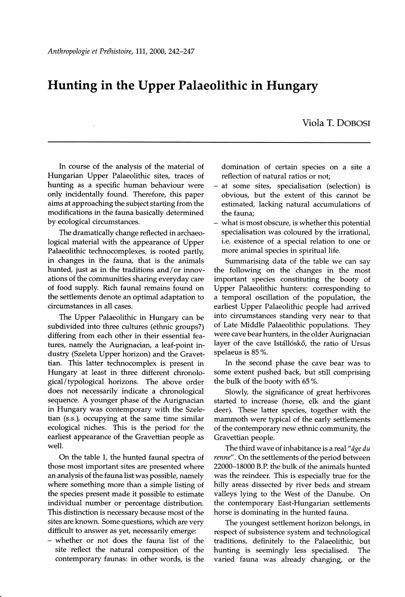## Fluntirg in the Upper Palaeolithic in Hungary

Viola T. DOBOSI

In course of the analysis of the material of Hungarian Upper Palaeolithic sites, traces of hunting as a specific human behaviour were only incidentally found. Therefore, this paper aims at approaching the subject starting from the modifications in the fauna basically determined by ecological circumstances.

The dramatically change reflected in archaeological material with the appearance of Upper Palaeolithic technocomplexes, is rooted partly, in changes in the fauna, that is the animals hunted, just as in the traditions and/or innovations of the communities sharing everyday care of food supply. Rich faunal remains found on the settlements denote an optimal adaptation to circumstances in all cases.

The Upper Palaeolithic in Hungary can be subdivided into three cultures (ethnic groups?) differing from each other in their essential features, namely the Aurignacian, a leaf-point industry (Szeleta Upper horizon) and the Gravettian. This latter technocomplex is present in Hungary at least in three different chronological/typological horizons. The above order does not necessarily indicate a chronological sequence. A younger phase of the Aurignacian in Hungary was contemporary with the Szeletian (s.s.), occupying at the same time similar ecological niches. This is the period for the earliest appearance of the Gravettian people as well.

On the table 1, the hunted faunal spectra of those most important sites are presented where an analysis of the fauna list was possible, namely where something more than a simple listing of the species present made it possible to estimate individual number or percentage distribution. This distinction is necessary because most of the sites are known. Some questions, which are very difficult to answer as yet, necessarily emerge:

- whether or not does the fauna list of the site reflect the natural composition of the contemporary faunas: in other words, is the

domination of certain species on a site a reflection of natural ratios or not;

- at some sites, specialisation (selection) is obvious, but the extent of this cannot be estimated, lacking natural accumulations of the fauna;
- what is most obscure, is whether this potential specialisation was coloured by the irrational, i.e. existence of a special relation to one or more animal species in spiritual life.

Summarising data of the table we can say the following on the changes in the mo important species constituting the booty of Upper Palaeolithic hunters: corresponding to a temporal oscillation of the population, the earliest Upper Palaeolithic people had arrived into circumstances standing very near to that of Late Middle Palaeolithic populations. They were cave bear hunters, in the older Aurignacian layer of the cave Istállóskő, the ratio of Ursus spelaeus is 85 %.

In the second phase the cave bear was to some extent pushed back, but still comprising the bulk of the booty with 65%.

Slowly, the significance of great herbivores started to increase (horse, elk and the giant deer). These latter species, together with the mammoth were typical of the early settlements of the contemporary new ethnic community, the Gravettian people.

The third wave of inhabitance is a real " $\hat{a}$ ge du renne" . On the settlements of the period between 22000-18000 B.P. the bulk of the animals hunted was the reindeer. This is especially true for the hilly areas dissected by river beds and stream valleys lying to the West of the Danube. On the contemporary East-Hungarian settlements horse is dominating in the hunted fauna.

The youngest settlement horizon belongs, in respect of subsistence system and technological traditions, definitely to the Palaeolithic, but hunting is seemingly less specialised. The varied fauna was already changing, ot the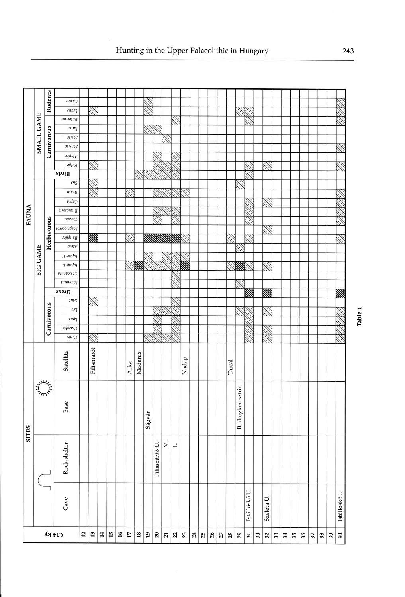|              | SMALL GAME                | Rodents     | Lastor                    |    |            |    |                 |    |                         |         |                  |                |                |                                                                                                             |       |    |      |    |    |               |                 |               |    |            |    |    |    |    |               |    |    |                         |
|--------------|---------------------------|-------------|---------------------------|----|------------|----|-----------------|----|-------------------------|---------|------------------|----------------|----------------|-------------------------------------------------------------------------------------------------------------|-------|----|------|----|----|---------------|-----------------|---------------|----|------------|----|----|----|----|---------------|----|----|-------------------------|
|              |                           |             | sndə7                     |    |            |    |                 |    |                         |         |                  |                |                |                                                                                                             |       |    |      |    |    |               |                 |               |    |            |    |    |    |    |               |    |    |                         |
|              |                           | Carnivorous | $\it snuopn_d$            |    |            |    |                 |    |                         |         |                  |                |                |                                                                                                             |       |    |      |    |    |               |                 |               |    |            |    |    |    |    |               |    |    |                         |
|              |                           |             | $\nu\mu\eta\eta$          |    |            |    |                 |    |                         |         |                  |                |                |                                                                                                             |       |    |      |    |    |               |                 |               |    |            |    |    |    |    |               |    |    |                         |
|              |                           |             | $\emph{s}$ apa $\emph{W}$ |    |            |    |                 |    |                         |         |                  |                |                |                                                                                                             |       |    |      |    |    |               |                 |               |    |            |    |    |    |    |               |    |    |                         |
|              |                           |             | səµv                      |    |            |    |                 |    |                         |         |                  |                |                |                                                                                                             |       |    |      |    |    |               |                 |               |    |            |    |    |    |    |               |    |    |                         |
| FAUNA        |                           |             | xadojy                    |    |            |    |                 |    |                         |         |                  |                |                |                                                                                                             |       |    |      |    |    |               |                 |               |    |            |    |    |    |    |               |    |    |                         |
|              |                           |             | səd $m_\Lambda$           |    |            |    |                 |    |                         |         |                  |                |                |                                                                                                             |       |    |      |    |    |               |                 |               |    |            |    |    |    |    |               |    |    |                         |
|              | <b>GAME</b><br><b>BIG</b> |             | spiig                     |    |            |    |                 |    |                         |         |                  |                |                |                                                                                                             |       |    |      |    |    |               |                 |               |    |            |    |    |    |    |               |    |    |                         |
|              |                           |             | ${\it sn}_S$              |    |            |    |                 |    |                         |         |                  |                |                |                                                                                                             |       |    |      |    |    |               |                 |               |    |            |    |    |    |    |               |    |    |                         |
|              |                           |             | nosid                     |    |            |    |                 |    |                         |         |                  |                |                |                                                                                                             |       |    |      |    |    |               |                 |               |    |            |    |    |    |    |               |    |    |                         |
|              |                           | Herbivorous | $\mathit{vadv}$           |    |            |    |                 |    |                         |         |                  |                |                |                                                                                                             |       |    |      |    |    |               |                 |               |    |            |    |    |    |    |               |    |    |                         |
|              |                           |             | $\mathit{y}$              |    |            |    |                 |    |                         |         |                  |                |                |                                                                                                             |       |    |      |    |    |               |                 |               |    |            |    |    |    |    |               |    |    |                         |
|              |                           |             | cerous                    |    |            |    |                 |    |                         |         |                  |                |                |                                                                                                             |       |    |      |    |    |               |                 |               |    |            |    |    |    |    |               |    |    |                         |
|              |                           |             | $s$ o aso $p$ 83 $p$      |    |            |    |                 |    |                         |         |                  |                |                |                                                                                                             |       |    |      |    |    |               |                 |               |    |            |    |    |    |    |               |    |    |                         |
|              |                           |             | เอโเรนฉหิ                 |    | M          |    |                 |    |                         |         |                  |                |                | <b>RANGOLANDINAL SEGNION SEGNION SEGNION SEGNION SEGNION SEGNION SEGNION SEGNION SEGNION SEGNION SEGNIO</b> |       |    |      |    |    |               |                 |               |    |            |    |    |    |    |               |    |    |                         |
|              |                           |             | $s$ ə $\eta$ v            |    |            |    |                 |    |                         |         |                  |                |                |                                                                                                             |       |    |      |    |    |               |                 |               |    |            |    |    |    |    |               |    |    |                         |
|              |                           |             |                           |    |            |    |                 |    |                         |         |                  |                |                |                                                                                                             |       |    |      |    |    |               |                 |               |    |            |    |    |    |    |               |    |    |                         |
|              |                           |             | $H$ snnb $H$              |    |            |    |                 |    |                         | ZZA.    |                  |                |                |                                                                                                             |       |    |      |    |    |               |                 |               |    |            |    |    |    |    |               |    |    |                         |
|              |                           |             | $\gamma$ snnb $\gamma$    |    |            |    |                 |    |                         |         |                  |                |                |                                                                                                             |       |    |      |    |    |               |                 |               |    |            |    |    |    |    |               |    |    |                         |
|              |                           |             | Coelodonta                |    |            |    |                 |    |                         |         |                  |                |                |                                                                                                             |       |    |      |    |    |               |                 |               |    |            |    |    |    |    |               |    |    |                         |
|              |                           |             | $\mu$ uuuv $W$            |    |            |    |                 |    |                         |         |                  |                |                |                                                                                                             |       |    |      |    |    |               |                 |               |    |            |    |    |    |    |               |    |    |                         |
|              |                           |             | snsn                      |    |            |    |                 |    |                         |         |                  |                |                |                                                                                                             |       |    |      |    |    |               |                 | W             |    | ▒          |    |    |    |    |               |    |    | 腦                       |
|              |                           | Carnivorous | opn                       |    |            |    |                 |    |                         |         |                  |                |                |                                                                                                             |       |    |      |    |    |               |                 |               |    |            |    |    |    |    |               |    |    |                         |
|              |                           |             | 027                       |    |            |    |                 |    |                         |         |                  |                |                |                                                                                                             |       |    |      |    |    |               |                 |               |    |            |    |    |    |    |               |    |    |                         |
|              |                           |             | xuĥ J                     |    |            |    |                 |    |                         |         |                  |                |                |                                                                                                             |       |    |      |    |    |               |                 |               |    |            |    |    |    |    |               |    |    |                         |
|              |                           |             | 01100017                  |    |            |    |                 |    |                         |         |                  |                |                |                                                                                                             |       |    |      |    |    |               |                 |               |    |            |    |    |    |    |               |    |    |                         |
| <b>SITES</b> |                           |             | suuv                      |    |            |    |                 |    |                         |         |                  |                |                |                                                                                                             |       |    |      |    |    |               |                 |               |    |            |    |    |    |    |               |    |    |                         |
|              |                           |             | Satellite                 |    | Pilismarót |    |                 |    | Arka                    | Madaras |                  |                |                |                                                                                                             | Nadap |    |      |    |    | Tarcal        |                 |               |    |            |    |    |    |    |               |    |    |                         |
|              | juz<br>ᢇᠩ                 |             | Base                      |    |            |    |                 |    |                         |         | Ságvár           |                |                |                                                                                                             |       |    |      |    |    |               | Bodrogkeresztúr |               |    |            |    |    |    |    |               |    |    |                         |
|              |                           |             | Rock-shelter              |    |            |    |                 |    |                         |         |                  | Pilisszántó U. | $\geq$         | نہ                                                                                                          |       |    |      |    |    |               |                 |               |    |            |    |    |    |    |               |    |    |                         |
|              |                           |             | Cave                      |    |            |    |                 |    |                         |         |                  |                |                |                                                                                                             |       |    |      |    |    |               |                 | Istállóskő U. |    | Szeleta U. |    |    |    |    |               |    |    | Istállóskő L.           |
|              |                           |             | $\mathsf{C14}$ ky         | 12 | 13         | 14 | $\overline{15}$ | 16 | $\overline{\mathbb{L}}$ | $18\,$  | $\mathfrak{e}_1$ | $\mathbf{20}$  | $\overline{z}$ | 22                                                                                                          | 23    | 24 | $25$ | 26 | 27 | $\mathbf{28}$ | $29$            | $50\,$        | 51 | 32         | 33 | 34 | 35 | 36 | $\mathcal{L}$ | 38 | 39 | $\overline{\mathbf{d}}$ |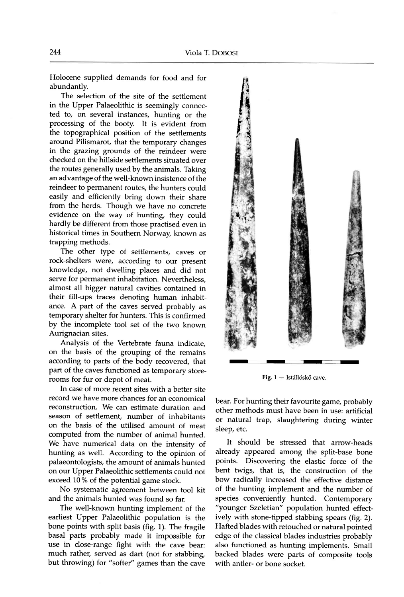Holocene supplied demands for food and for abundantly.

The selection of the site of the settlement in the Upper Palaeolithic is seemingly connected to, on several instances, hunting or the processing of the booty. It is evident from the topographical position of the settlements around Pilismarot, that the temporary changes in the grazing grounds of the reindeer were checked on the hillside settlements situated over the routes generally used by the animals. Taking an advantage of the well-known insistence of the reindeer to permanent routes, the hunters could easily and efficiently bring down their share from the herds. Though we have no concrete evidence on the way of hunting, they could hardly be different from those practised even in historical times in Southern Norway, known as trapping methods.

The other type of settlements, caves or rock-shelters were, according to our present knowledge, not dwelling places and did not serve for permanent inhabitation. Nevertheless, almost all bigger natural cavities contained in their fill-ups traces denoting human inhabitance. A part of the caves served probably as temporary shelter for hunters. This is confirmed by the incomplete tool set of the two known Aurignacian sites.

Analysis of the Vertebrate fauna indicate, on the basis of the grouping of the remains according to parts of the body recovered, that part of the caves functioned as temporary storerooms for fur or depot of meat.

In case of more recent sites with a better site record we have more chances for an economical reconstruction. We can estimate duration and season of settlement, number of inhabitants on the basis of the utilised amount of meat computed from the number of animal hunted. We have numerical data on the intensity of hunting as well. According to the opinion of palaeontologists, the amount of animals hunted on our Upper Palaeolithic settlements could not exceed 10% of the potential game stock.

No systematic agreement between tool kit and the animals hunted was found so far.

The well-known hunting implement of the earliest Upper Palaeolithic population is the bone points with split basis (fig. 1). The fragile basal parts probably made it impossible for use in close-range fight with the cave bear: much rather, served as dart (not for stabbing, but throwing) for "softer" games than the cave



Fig. 1 - Istállóskő cave.

bear. For hunting their favourite game, probably other methods must have been in use: artificial or natural trap, slaughtering during winter sleep, etc.

It should be stressed that arrow-heads already appeared among the split-base bone points. Discovering the elastic force of the bent twigs, that is, the construction of the bow radically increased the effective distance of the hunting implement and the number of species conveniently hunted. Contemporary "younger Szeletian" population hunted effectively with stone-tipped stabbing spears (fig.2). Hafted blades with retouched or natural pointed edge of the classical blades industries probably also functioned as hunting implements. Small backed blades were parts of composite tools with antler- or bone socket.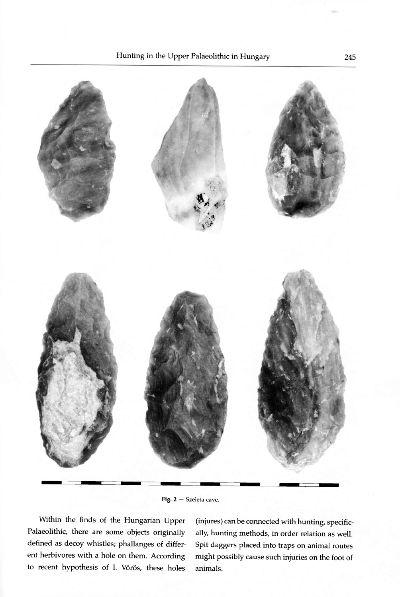

Fig. 2 – Szeleta cave.

Within the finds of the Hungarian Upper Palaeolithic, there are some objects originally defined as decoy whistles; phallanges of different herbivores with a hole on them. According to recent hypothesis of I. Vôrôs, these holes

(injures) can be connected with hunting, specifically, hunting methods, in order relation as well. Spit daggers placed into traps on animal routes might possibly cause such injuries on the foot of animals.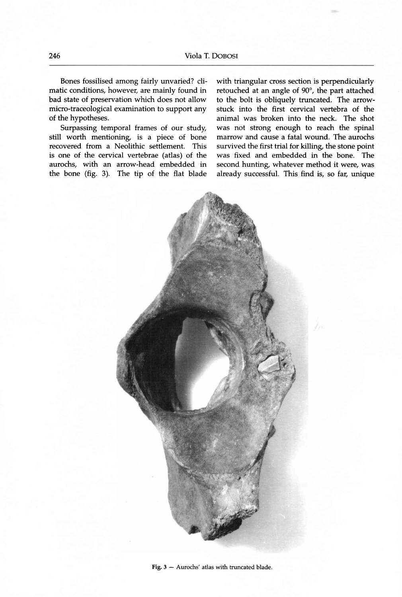Bones fossilised among fairly unvaried? climatic conditions, however, are mainly found in bad state of preservation which does not allow micro-traceological examination to support any of the hypotheses.

Surpassing temporal frames of our study, still worth mentioning, is a piece of bone recovered from a Neolithic settlement. This is one of the cervical vertebrae (atlas) of the aurochs, with an arrow-head embedded in the bone (fig. 3). The tip of the flat blade with triangular cross section is perpendicularly retouched at an angle of 90", the part attached to the bolt is obliquely truncated. The arrowstuck into the first cervical vertebra of the animal was broken into the neck. The shot was not strong enough to reach the spinal marrow and cause a fatal wound. The aurochs survived the first trial for killing, the stone point was fixed and embedded in the bone. The second hunting, whatever method it were, was already successful. This find is, so far, unique